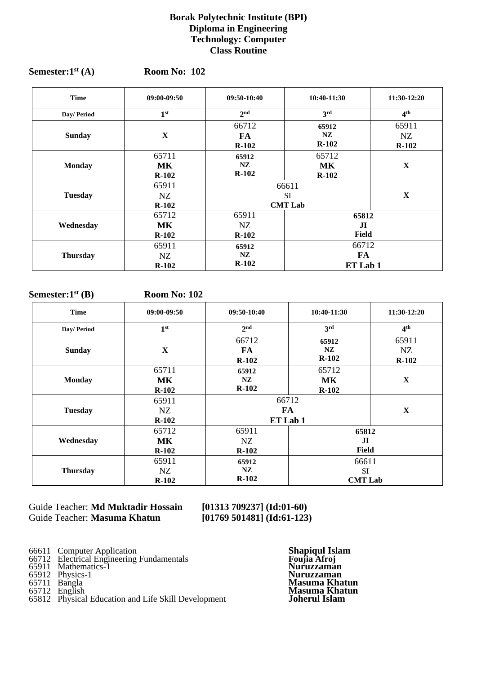#### **Borak Polytechnic Institute (BPI) Diploma in Engineering Technology: Computer Class Routine**

| <b>Time</b>     | 09:00-09:50                   | $09:50-10:40$                        | 10:40-11:30                    | 11:30-12:20            |
|-----------------|-------------------------------|--------------------------------------|--------------------------------|------------------------|
| Day/ Period     | 1 <sup>st</sup>               | 2 <sub>nd</sub>                      | 3rd                            | 4 <sup>th</sup>        |
| <b>Sunday</b>   | $\mathbf X$                   | 66712<br>FA.<br>$R-102$              | 65912<br>NZ<br>$R-102$         | 65911<br>NZ<br>$R-102$ |
| <b>Monday</b>   | 65711<br><b>MK</b><br>$R-102$ | 65912<br>NZ<br>$R-102$               | 65712<br><b>MK</b><br>$R-102$  | $\mathbf X$            |
| <b>Tuesday</b>  | 65911<br>NZ<br>$R-102$        | 66611<br><b>SI</b><br><b>CMT Lab</b> |                                | $\mathbf X$            |
| Wednesday       | 65712<br>MK<br>$R-102$        | 65911<br>NZ.<br>$R-102$              | 65812<br>$\mathbf{J}$<br>Field |                        |
| <b>Thursday</b> | 65911<br>NZ<br>$R-102$        | 65912<br>NZ<br>$R-102$               | 66712<br>FA<br>ET Lab 1        |                        |

#### Semester:1<sup>st</sup> (A) **st (A) Room No: 102**

#### **Semester:1st (B) Room No: 102**

| <b>Time</b>     | 09:00-09:50                   | $09:50-10:40$                                 | 10:40-11:30                          | 11:30-12:20            |
|-----------------|-------------------------------|-----------------------------------------------|--------------------------------------|------------------------|
| Day/ Period     | 1 <sup>st</sup>               | 2 <sup>nd</sup>                               | 3 <sup>rd</sup>                      | 4 <sup>th</sup>        |
| <b>Sunday</b>   | $\mathbf X$                   | 66712<br>FA<br>$R-102$                        | 65912<br>NZ<br>$R-102$               | 65911<br>NZ<br>$R-102$ |
| <b>Monday</b>   | 65711<br><b>MK</b><br>$R-102$ | 65912<br>NZ<br>$R-102$                        | 65712<br><b>MK</b><br>$R-102$        | $\mathbf X$            |
| <b>Tuesday</b>  | 65911<br>NZ<br>$R-102$        | 66712<br><b>FA</b><br>$\mathbf X$<br>ET Lab 1 |                                      |                        |
| Wednesday       | 65712<br><b>MK</b><br>$R-102$ | 65911<br>NZ<br>$R-102$                        | 65812<br>$\mathbf{H}$<br>Field       |                        |
| <b>Thursday</b> | 65911<br>NZ<br>$R-102$        | 65912<br>NZ<br>$R-102$                        | 66611<br><b>SI</b><br><b>CMT Lab</b> |                        |

Guide Teacher: **Md Muktadir Hossain [01313 709237] (Id:01-60)** Guide Teacher: **Masuma Khatun [01769 501481] (Id:61-123)**

- 66611 Computer Application **Shapiqul Islam**
- 66712 Electrical Engineering Fundamentals **Foujia Afroj** 65911 Mathematics-1 **Nuruzzaman**
- 
- 
- 
- 65712 English **Masuma Khatun** 65812 Physical Education and Life Skill Development **Joherul Islam**

65912 Physics-1 **Nuruzzaman** 65711 Bangla **Masuma Khatun**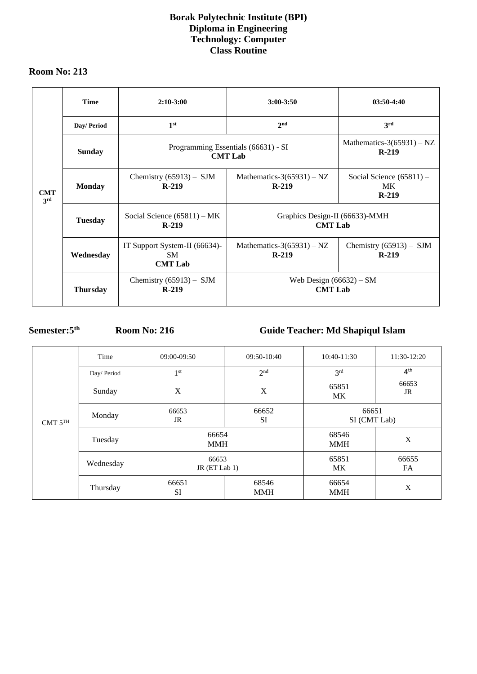## **Borak Polytechnic Institute (BPI) Diploma in Engineering Technology: Computer Class Routine**

### **Room No: 213**

|                   | <b>Time</b>     | $2:10-3:00$                                           | $3:00 - 3:50$                                    | $03:50-4:40$                                       |
|-------------------|-----------------|-------------------------------------------------------|--------------------------------------------------|----------------------------------------------------|
|                   | Day/ Period     | 1 <sup>st</sup>                                       | 2 <sub>nd</sub>                                  | 3rd                                                |
|                   | <b>Sunday</b>   | Programming Essentials (66631) - SI<br><b>CMT Lab</b> | Mathematics-3(65931) $- NZ$<br>$R-219$           |                                                    |
| <b>CMT</b><br>3rd | <b>Monday</b>   | Chemistry $(65913)$ – SJM<br>$R-219$                  | Mathematics-3(65931) – NZ<br>$R-219$             | Social Science $(65811)$ –<br><b>MK</b><br>$R-219$ |
| <b>Tuesday</b>    |                 | Social Science $(65811)$ – MK<br>$R-219$              | Graphics Design-II (66633)-MMH<br><b>CMT</b> Lab |                                                    |
|                   | Wednesday       | IT Support System-II (66634)-<br>SM<br><b>CMT Lab</b> | Mathematics-3(65931) – NZ<br>$R-219$             | Chemistry $(65913)$ – SJM<br>$R-219$               |
|                   | <b>Thursday</b> | Chemistry $(65913)$ – SJM<br>$R-219$                  | Web Design $(66632)$ – SM<br><b>CMT Lab</b>      |                                                    |

# **Semester:5**

**th Room No: 216 Guide Teacher: Md Shapiqul Islam**

| CMT $5^{TH}$ | Time       | 09:00-09:50            | 09:50-10:40         | 10:40-11:30           | 11:30-12:20        |
|--------------|------------|------------------------|---------------------|-----------------------|--------------------|
|              | Day/Period | 1 <sup>st</sup>        | 2 <sup>nd</sup>     | 3 <sup>rd</sup>       | 4 <sup>th</sup>    |
|              | Sunday     | X                      | X                   | 65851<br><b>MK</b>    | 66653<br><b>JR</b> |
|              | Monday     | 66653<br>JR            | 66652<br><b>SI</b>  | 66651<br>SI (CMT Lab) |                    |
|              | Tuesday    | 66654<br><b>MMH</b>    |                     | 68546<br><b>MMH</b>   | X                  |
|              | Wednesday  | 66653<br>JR (ET Lab 1) |                     | 65851<br><b>MK</b>    | 66655<br>FA        |
|              | Thursday   | 66651<br><b>SI</b>     | 68546<br><b>MMH</b> | 66654<br><b>MMH</b>   | X                  |